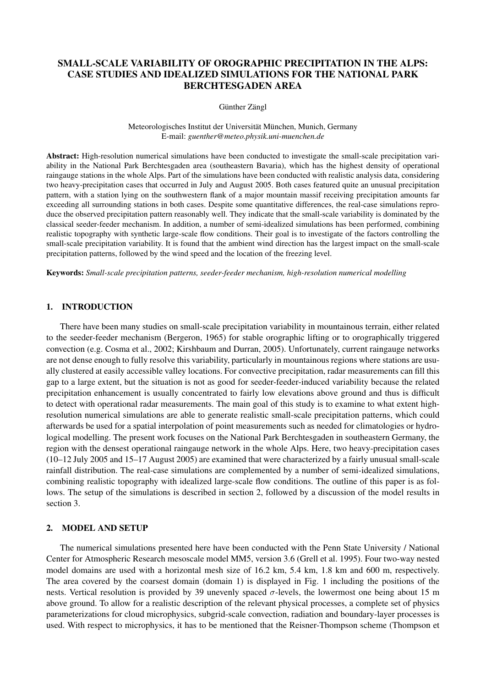# SMALL-SCALE VARIABILITY OF OROGRAPHIC PRECIPITATION IN THE ALPS: CASE STUDIES AND IDEALIZED SIMULATIONS FOR THE NATIONAL PARK BERCHTESGADEN AREA

Günther Zängl

Meteorologisches Institut der Universität München, Munich, Germany E-mail: *guenther@meteo.physik.uni-muenchen.de*

Abstract: High-resolution numerical simulations have been conducted to investigate the small-scale precipitation variability in the National Park Berchtesgaden area (southeastern Bavaria), which has the highest density of operational raingauge stations in the whole Alps. Part of the simulations have been conducted with realistic analysis data, considering two heavy-precipitation cases that occurred in July and August 2005. Both cases featured quite an unusual precipitation pattern, with a station lying on the southwestern flank of a major mountain massif receiving precipitation amounts far exceeding all surrounding stations in both cases. Despite some quantitative differences, the real-case simulations reproduce the observed precipitation pattern reasonably well. They indicate that the small-scale variability is dominated by the classical seeder-feeder mechanism. In addition, a number of semi-idealized simulations has been performed, combining realistic topography with synthetic large-scale flow conditions. Their goal is to investigate of the factors controlling the small-scale precipitation variability. It is found that the ambient wind direction has the largest impact on the small-scale precipitation patterns, followed by the wind speed and the location of the freezing level.

Keywords: *Small-scale precipitation patterns, seeder-feeder mechanism, high-resolution numerical modelling*

## 1. INTRODUCTION

There have been many studies on small-scale precipitation variability in mountainous terrain, either related to the seeder-feeder mechanism (Bergeron, 1965) for stable orographic lifting or to orographically triggered convection (e.g. Cosma et al., 2002; Kirshbaum and Durran, 2005). Unfortunately, current raingauge networks are not dense enough to fully resolve this variability, particularly in mountainous regions where stations are usually clustered at easily accessible valley locations. For convective precipitation, radar measurements can fill this gap to a large extent, but the situation is not as good for seeder-feeder-induced variability because the related precipitation enhancement is usually concentrated to fairly low elevations above ground and thus is difficult to detect with operational radar measurements. The main goal of this study is to examine to what extent highresolution numerical simulations are able to generate realistic small-scale precipitation patterns, which could afterwards be used for a spatial interpolation of point measurements such as needed for climatologies or hydrological modelling. The present work focuses on the National Park Berchtesgaden in southeastern Germany, the region with the densest operational raingauge network in the whole Alps. Here, two heavy-precipitation cases (10–12 July 2005 and 15–17 August 2005) are examined that were characterized by a fairly unusual small-scale rainfall distribution. The real-case simulations are complemented by a number of semi-idealized simulations, combining realistic topography with idealized large-scale flow conditions. The outline of this paper is as follows. The setup of the simulations is described in section 2, followed by a discussion of the model results in section 3.

## 2. MODEL AND SETUP

The numerical simulations presented here have been conducted with the Penn State University / National Center for Atmospheric Research mesoscale model MM5, version 3.6 (Grell et al. 1995). Four two-way nested model domains are used with a horizontal mesh size of 16.2 km, 5.4 km, 1.8 km and 600 m, respectively. The area covered by the coarsest domain (domain 1) is displayed in Fig. 1 including the positions of the nests. Vertical resolution is provided by 39 unevenly spaced σ-levels, the lowermost one being about 15 m above ground. To allow for a realistic description of the relevant physical processes, a complete set of physics parameterizations for cloud microphysics, subgrid-scale convection, radiation and boundary-layer processes is used. With respect to microphysics, it has to be mentioned that the Reisner-Thompson scheme (Thompson et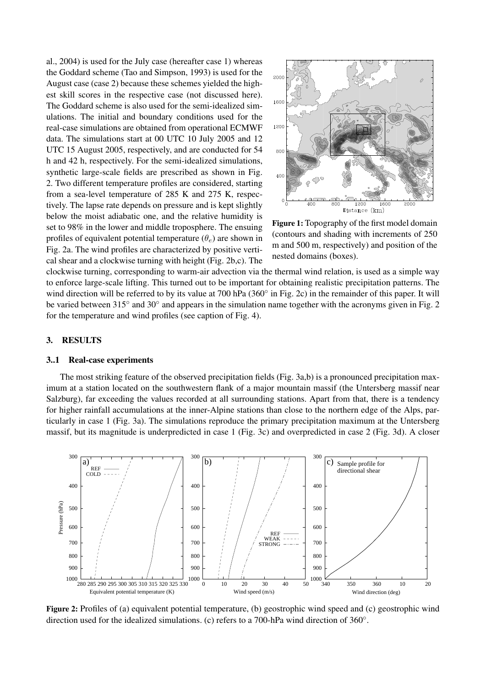al., 2004) is used for the July case (hereafter case 1) whereas the Goddard scheme (Tao and Simpson, 1993) is used for the August case (case 2) because these schemes yielded the highest skill scores in the respective case (not discussed here). The Goddard scheme is also used for the semi-idealized simulations. The initial and boundary conditions used for the real-case simulations are obtained from operational ECMWF data. The simulations start at 00 UTC 10 July 2005 and 12 UTC 15 August 2005, respectively, and are conducted for 54 h and 42 h, respectively. For the semi-idealized simulations, synthetic large-scale fields are prescribed as shown in Fig. 2. Two different temperature profiles are considered, starting from a sea-level temperature of 285 K and 275 K, respectively. The lapse rate depends on pressure and is kept slightly below the moist adiabatic one, and the relative humidity is set to 98% in the lower and middle troposphere. The ensuing profiles of equivalent potential temperature  $(\theta_e)$  are shown in Fig. 2a. The wind profiles are characterized by positive vertical shear and a clockwise turning with height (Fig. 2b,c). The



Figure 1: Topography of the first model domain (contours and shading with increments of 250 m and 500 m, respectively) and position of the nested domains (boxes).

clockwise turning, corresponding to warm-air advection via the thermal wind relation, is used as a simple way to enforce large-scale lifting. This turned out to be important for obtaining realistic precipitation patterns. The wind direction will be referred to by its value at 700 hPa (360° in Fig. 2c) in the remainder of this paper. It will be varied between 315° and 30° and appears in the simulation name together with the acronyms given in Fig. 2 for the temperature and wind profiles (see caption of Fig. 4).

### 3. RESULTS

#### 3..1 Real-case experiments

The most striking feature of the observed precipitation fields (Fig. 3a,b) is a pronounced precipitation maximum at a station located on the southwestern flank of a major mountain massif (the Untersberg massif near Salzburg), far exceeding the values recorded at all surrounding stations. Apart from that, there is a tendency for higher rainfall accumulations at the inner-Alpine stations than close to the northern edge of the Alps, particularly in case 1 (Fig. 3a). The simulations reproduce the primary precipitation maximum at the Untersberg massif, but its magnitude is underpredicted in case 1 (Fig. 3c) and overpredicted in case 2 (Fig. 3d). A closer



Figure 2: Profiles of (a) equivalent potential temperature, (b) geostrophic wind speed and (c) geostrophic wind direction used for the idealized simulations. (c) refers to a 700-hPa wind direction of 360°.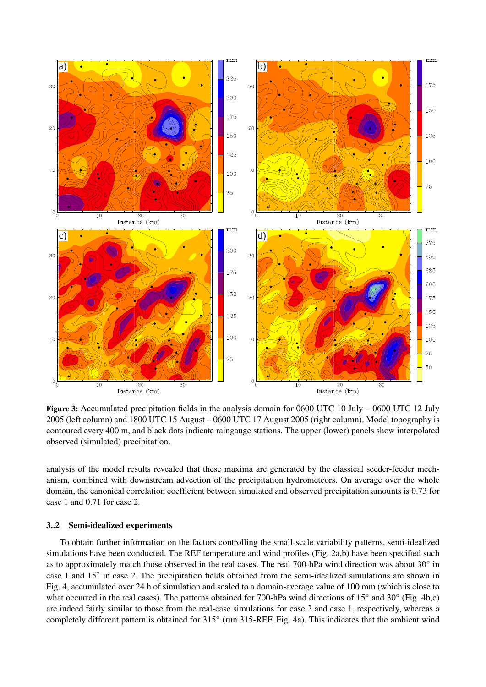

Figure 3: Accumulated precipitation fields in the analysis domain for 0600 UTC 10 July – 0600 UTC 12 July 2005 (left column) and 1800 UTC 15 August – 0600 UTC 17 August 2005 (right column). Model topography is contoured every 400 m, and black dots indicate raingauge stations. The upper (lower) panels show interpolated observed (simulated) precipitation.

analysis of the model results revealed that these maxima are generated by the classical seeder-feeder mechanism, combined with downstream advection of the precipitation hydrometeors. On average over the whole domain, the canonical correlation coefficient between simulated and observed precipitation amounts is 0.73 for case 1 and 0.71 for case 2.

#### 3..2 Semi-idealized experiments

To obtain further information on the factors controlling the small-scale variability patterns, semi-idealized simulations have been conducted. The REF temperature and wind profiles (Fig. 2a,b) have been specified such as to approximately match those observed in the real cases. The real 700-hPa wind direction was about 30° in case 1 and 15° in case 2. The precipitation fields obtained from the semi-idealized simulations are shown in Fig. 4, accumulated over 24 h of simulation and scaled to a domain-average value of 100 mm (which is close to what occurred in the real cases). The patterns obtained for 700-hPa wind directions of 15° and 30° (Fig. 4b,c) are indeed fairly similar to those from the real-case simulations for case 2 and case 1, respectively, whereas a completely different pattern is obtained for 315° (run 315-REF, Fig. 4a). This indicates that the ambient wind